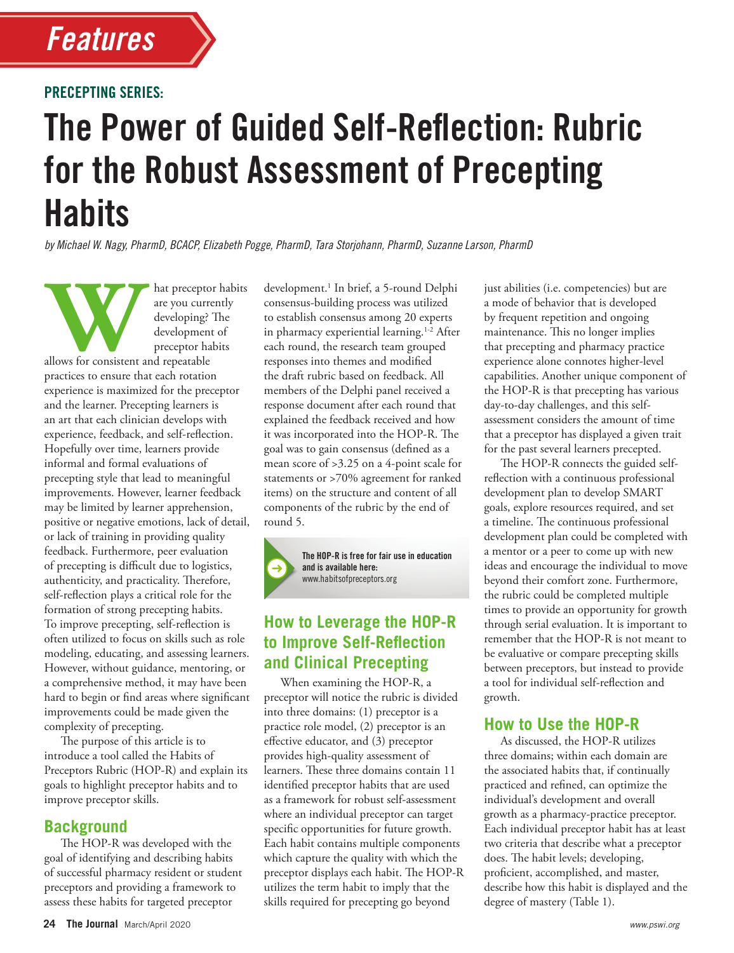

#### PRECEPTING SERIES:

# The Power of Guided Self-Reflection: Rubric for the Robust Assessment of Precepting **Habits**

*by Michael W. Nagy, PharmD, BCACP, Elizabeth Pogge, PharmD, Tara Storjohann, PharmD, Suzanne Larson, PharmD*

Mat preceptor habits<br>
are you currently<br>
developing? The<br>
development of<br>
preceptor habits<br>
lllows for consistent and repeatable<br> **Matter of the set of the set of the set of the set of the set of the set of the set of the** are you currently developing? The development of preceptor habits

allows for consistent and repeatable practices to ensure that each rotation experience is maximized for the preceptor and the learner. Precepting learners is an art that each clinician develops with experience, feedback, and self-reflection. Hopefully over time, learners provide informal and formal evaluations of precepting style that lead to meaningful improvements. However, learner feedback may be limited by learner apprehension, positive or negative emotions, lack of detail, or lack of training in providing quality feedback. Furthermore, peer evaluation of precepting is difficult due to logistics, authenticity, and practicality. Therefore, self-reflection plays a critical role for the formation of strong precepting habits. To improve precepting, self-reflection is often utilized to focus on skills such as role modeling, educating, and assessing learners. However, without guidance, mentoring, or a comprehensive method, it may have been hard to begin or find areas where significant improvements could be made given the complexity of precepting.

The purpose of this article is to introduce a tool called the Habits of Preceptors Rubric (HOP-R) and explain its goals to highlight preceptor habits and to improve preceptor skills.

### **Background**

The HOP-R was developed with the goal of identifying and describing habits of successful pharmacy resident or student preceptors and providing a framework to assess these habits for targeted preceptor

development.<sup>1</sup> In brief, a 5-round Delphi consensus-building process was utilized to establish consensus among 20 experts in pharmacy experiential learning.<sup>1-2</sup> After each round, the research team grouped responses into themes and modified the draft rubric based on feedback. All members of the Delphi panel received a response document after each round that explained the feedback received and how it was incorporated into the HOP-R. The goal was to gain consensus (defined as a mean score of >3.25 on a 4-point scale for statements or >70% agreement for ranked items) on the structure and content of all components of the rubric by the end of round 5.



The HOP-R is free for fair use in education and is available here: www.habitsofpreceptors.org

# **How to Leverage the HOP-R to Improve Self-Reflection and Clinical Precepting**

When examining the HOP-R, a preceptor will notice the rubric is divided into three domains: (1) preceptor is a practice role model, (2) preceptor is an effective educator, and (3) preceptor provides high-quality assessment of learners. These three domains contain 11 identified preceptor habits that are used as a framework for robust self-assessment where an individual preceptor can target specific opportunities for future growth. Each habit contains multiple components which capture the quality with which the preceptor displays each habit. The HOP-R utilizes the term habit to imply that the skills required for precepting go beyond

just abilities (i.e. competencies) but are a mode of behavior that is developed by frequent repetition and ongoing maintenance. This no longer implies that precepting and pharmacy practice experience alone connotes higher-level capabilities. Another unique component of the HOP-R is that precepting has various day-to-day challenges, and this selfassessment considers the amount of time that a preceptor has displayed a given trait for the past several learners precepted.

The HOP-R connects the guided selfreflection with a continuous professional development plan to develop SMART goals, explore resources required, and set a timeline. The continuous professional development plan could be completed with a mentor or a peer to come up with new ideas and encourage the individual to move beyond their comfort zone. Furthermore, the rubric could be completed multiple times to provide an opportunity for growth through serial evaluation. It is important to remember that the HOP-R is not meant to be evaluative or compare precepting skills between preceptors, but instead to provide a tool for individual self-reflection and growth.

## **How to Use the HOP-R**

As discussed, the HOP-R utilizes three domains; within each domain are the associated habits that, if continually practiced and refined, can optimize the individual's development and overall growth as a pharmacy-practice preceptor. Each individual preceptor habit has at least two criteria that describe what a preceptor does. The habit levels; developing, proficient, accomplished, and master, describe how this habit is displayed and the degree of mastery (Table 1).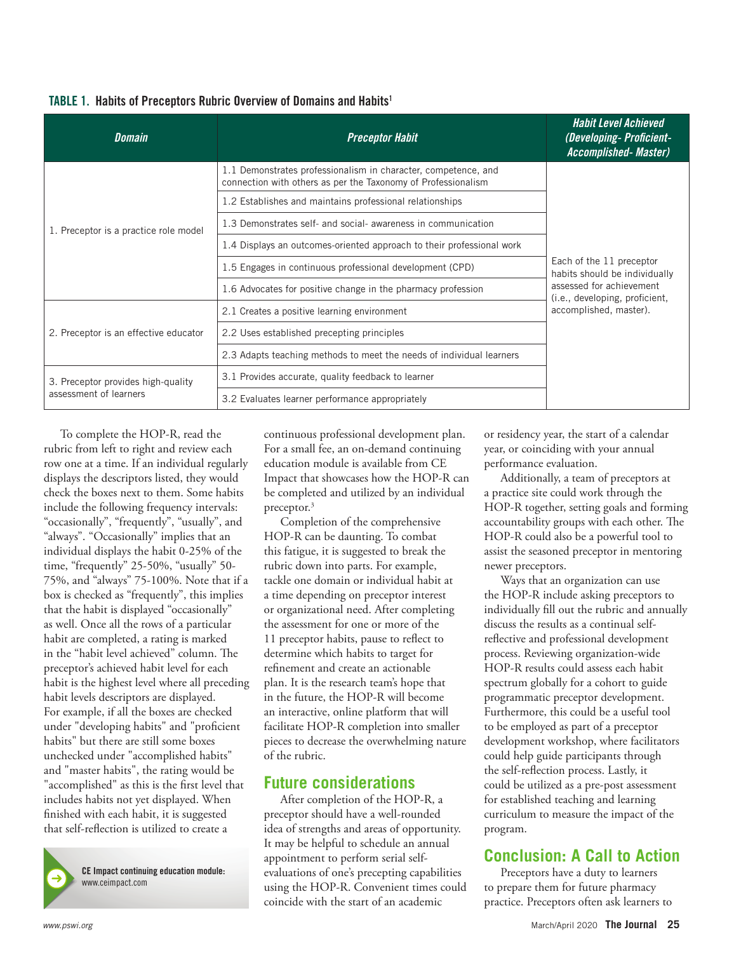| <b>Domain</b>                                                | <b>Preceptor Habit</b>                                                                                                          | <b>Habit Level Achieved</b><br>(Developing-Proficient-<br><b>Accomplished- Master)</b>                                                            |
|--------------------------------------------------------------|---------------------------------------------------------------------------------------------------------------------------------|---------------------------------------------------------------------------------------------------------------------------------------------------|
| 1. Preceptor is a practice role model                        | 1.1 Demonstrates professionalism in character, competence, and<br>connection with others as per the Taxonomy of Professionalism | Each of the 11 preceptor<br>habits should be individually<br>assessed for achievement<br>(i.e., developing, proficient,<br>accomplished, master). |
|                                                              | 1.2 Establishes and maintains professional relationships                                                                        |                                                                                                                                                   |
|                                                              | 1.3 Demonstrates self- and social- awareness in communication                                                                   |                                                                                                                                                   |
|                                                              | 1.4 Displays an outcomes-oriented approach to their professional work                                                           |                                                                                                                                                   |
|                                                              | 1.5 Engages in continuous professional development (CPD)                                                                        |                                                                                                                                                   |
|                                                              | 1.6 Advocates for positive change in the pharmacy profession                                                                    |                                                                                                                                                   |
| 2. Preceptor is an effective educator                        | 2.1 Creates a positive learning environment                                                                                     |                                                                                                                                                   |
|                                                              | 2.2 Uses established precepting principles                                                                                      |                                                                                                                                                   |
|                                                              | 2.3 Adapts teaching methods to meet the needs of individual learners                                                            |                                                                                                                                                   |
| 3. Preceptor provides high-quality<br>assessment of learners | 3.1 Provides accurate, quality feedback to learner                                                                              |                                                                                                                                                   |
|                                                              | 3.2 Evaluates learner performance appropriately                                                                                 |                                                                                                                                                   |

### TABLE 1. Habits of Preceptors Rubric Overview of Domains and Habits1

To complete the HOP-R, read the rubric from left to right and review each row one at a time. If an individual regularly displays the descriptors listed, they would check the boxes next to them. Some habits include the following frequency intervals: "occasionally", "frequently", "usually", and "always". "Occasionally" implies that an individual displays the habit 0-25% of the time, "frequently" 25-50%, "usually" 50- 75%, and "always" 75-100%. Note that if a box is checked as "frequently", this implies that the habit is displayed "occasionally" as well. Once all the rows of a particular habit are completed, a rating is marked in the "habit level achieved" column. The preceptor's achieved habit level for each habit is the highest level where all preceding habit levels descriptors are displayed. For example, if all the boxes are checked under "developing habits" and "proficient habits" but there are still some boxes unchecked under "accomplished habits" and "master habits", the rating would be "accomplished" as this is the first level that includes habits not yet displayed. When finished with each habit, it is suggested that self-reflection is utilized to create a

CE Impact continuing education module: www.ceimpact.com

continuous professional development plan. For a small fee, an on-demand continuing education module is available from CE Impact that showcases how the HOP-R can be completed and utilized by an individual preceptor.<sup>3</sup>

Completion of the comprehensive HOP-R can be daunting. To combat this fatigue, it is suggested to break the rubric down into parts. For example, tackle one domain or individual habit at a time depending on preceptor interest or organizational need. After completing the assessment for one or more of the 11 preceptor habits, pause to reflect to determine which habits to target for refinement and create an actionable plan. It is the research team's hope that in the future, the HOP-R will become an interactive, online platform that will facilitate HOP-R completion into smaller pieces to decrease the overwhelming nature of the rubric.

# **Future considerations**

After completion of the HOP-R, a preceptor should have a well-rounded idea of strengths and areas of opportunity. It may be helpful to schedule an annual appointment to perform serial selfevaluations of one's precepting capabilities using the HOP-R. Convenient times could coincide with the start of an academic

or residency year, the start of a calendar year, or coinciding with your annual performance evaluation.

Additionally, a team of preceptors at a practice site could work through the HOP-R together, setting goals and forming accountability groups with each other. The HOP-R could also be a powerful tool to assist the seasoned preceptor in mentoring newer preceptors.

Ways that an organization can use the HOP-R include asking preceptors to individually fill out the rubric and annually discuss the results as a continual selfreflective and professional development process. Reviewing organization-wide HOP-R results could assess each habit spectrum globally for a cohort to guide programmatic preceptor development. Furthermore, this could be a useful tool to be employed as part of a preceptor development workshop, where facilitators could help guide participants through the self-reflection process. Lastly, it could be utilized as a pre-post assessment for established teaching and learning curriculum to measure the impact of the program.

# **Conclusion: A Call to Action**

Preceptors have a duty to learners to prepare them for future pharmacy practice. Preceptors often ask learners to